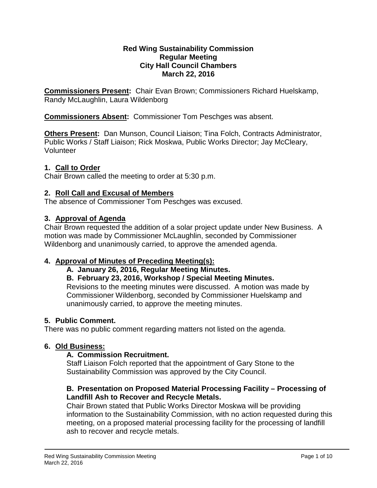#### **Red Wing Sustainability Commission Regular Meeting City Hall Council Chambers March 22, 2016**

**Commissioners Present:** Chair Evan Brown; Commissioners Richard Huelskamp, Randy McLaughlin, Laura Wildenborg

**Commissioners Absent:** Commissioner Tom Peschges was absent.

**Others Present:** Dan Munson, Council Liaison; Tina Folch, Contracts Administrator, Public Works / Staff Liaison; Rick Moskwa, Public Works Director; Jay McCleary, Volunteer

# **1. Call to Order**

Chair Brown called the meeting to order at 5:30 p.m.

# **2. Roll Call and Excusal of Members**

The absence of Commissioner Tom Peschges was excused.

# **3. Approval of Agenda**

Chair Brown requested the addition of a solar project update under New Business. A motion was made by Commissioner McLaughlin, seconded by Commissioner Wildenborg and unanimously carried, to approve the amended agenda.

### **4. Approval of Minutes of Preceding Meeting(s):**

**A. January 26, 2016, Regular Meeting Minutes.**

**B. February 23, 2016, Workshop / Special Meeting Minutes.** 

Revisions to the meeting minutes were discussed. A motion was made by Commissioner Wildenborg, seconded by Commissioner Huelskamp and unanimously carried, to approve the meeting minutes.

### **5. Public Comment.**

There was no public comment regarding matters not listed on the agenda.

### **6. Old Business:**

### **A. Commission Recruitment.**

Staff Liaison Folch reported that the appointment of Gary Stone to the Sustainability Commission was approved by the City Council.

### **B. Presentation on Proposed Material Processing Facility – Processing of Landfill Ash to Recover and Recycle Metals.**

Chair Brown stated that Public Works Director Moskwa will be providing information to the Sustainability Commission, with no action requested during this meeting, on a proposed material processing facility for the processing of landfill ash to recover and recycle metals.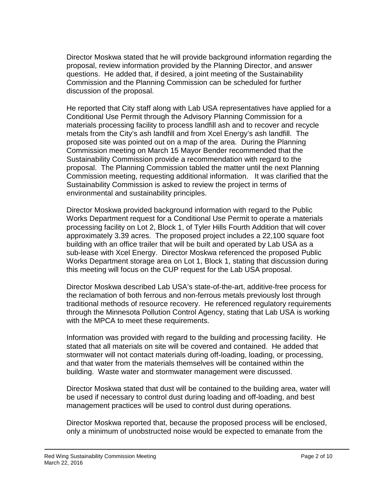Director Moskwa stated that he will provide background information regarding the proposal, review information provided by the Planning Director, and answer questions. He added that, if desired, a joint meeting of the Sustainability Commission and the Planning Commission can be scheduled for further discussion of the proposal.

He reported that City staff along with Lab USA representatives have applied for a Conditional Use Permit through the Advisory Planning Commission for a materials processing facility to process landfill ash and to recover and recycle metals from the City's ash landfill and from Xcel Energy's ash landfill. The proposed site was pointed out on a map of the area. During the Planning Commission meeting on March 15 Mayor Bender recommended that the Sustainability Commission provide a recommendation with regard to the proposal. The Planning Commission tabled the matter until the next Planning Commission meeting, requesting additional information. It was clarified that the Sustainability Commission is asked to review the project in terms of environmental and sustainability principles.

Director Moskwa provided background information with regard to the Public Works Department request for a Conditional Use Permit to operate a materials processing facility on Lot 2, Block 1, of Tyler Hills Fourth Addition that will cover approximately 3.39 acres. The proposed project includes a 22,100 square foot building with an office trailer that will be built and operated by Lab USA as a sub-lease with Xcel Energy. Director Moskwa referenced the proposed Public Works Department storage area on Lot 1, Block 1, stating that discussion during this meeting will focus on the CUP request for the Lab USA proposal.

Director Moskwa described Lab USA's state-of-the-art, additive-free process for the reclamation of both ferrous and non-ferrous metals previously lost through traditional methods of resource recovery. He referenced regulatory requirements through the Minnesota Pollution Control Agency, stating that Lab USA is working with the MPCA to meet these requirements.

Information was provided with regard to the building and processing facility. He stated that all materials on site will be covered and contained. He added that stormwater will not contact materials during off-loading, loading, or processing, and that water from the materials themselves will be contained within the building. Waste water and stormwater management were discussed.

Director Moskwa stated that dust will be contained to the building area, water will be used if necessary to control dust during loading and off-loading, and best management practices will be used to control dust during operations.

Director Moskwa reported that, because the proposed process will be enclosed, only a minimum of unobstructed noise would be expected to emanate from the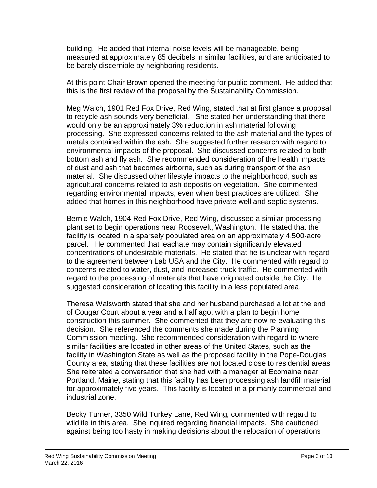building. He added that internal noise levels will be manageable, being measured at approximately 85 decibels in similar facilities, and are anticipated to be barely discernible by neighboring residents.

At this point Chair Brown opened the meeting for public comment. He added that this is the first review of the proposal by the Sustainability Commission.

Meg Walch, 1901 Red Fox Drive, Red Wing, stated that at first glance a proposal to recycle ash sounds very beneficial. She stated her understanding that there would only be an approximately 3% reduction in ash material following processing. She expressed concerns related to the ash material and the types of metals contained within the ash. She suggested further research with regard to environmental impacts of the proposal. She discussed concerns related to both bottom ash and fly ash. She recommended consideration of the health impacts of dust and ash that becomes airborne, such as during transport of the ash material. She discussed other lifestyle impacts to the neighborhood, such as agricultural concerns related to ash deposits on vegetation. She commented regarding environmental impacts, even when best practices are utilized. She added that homes in this neighborhood have private well and septic systems.

Bernie Walch, 1904 Red Fox Drive, Red Wing, discussed a similar processing plant set to begin operations near Roosevelt, Washington. He stated that the facility is located in a sparsely populated area on an approximately 4,500-acre parcel. He commented that leachate may contain significantly elevated concentrations of undesirable materials. He stated that he is unclear with regard to the agreement between Lab USA and the City. He commented with regard to concerns related to water, dust, and increased truck traffic. He commented with regard to the processing of materials that have originated outside the City. He suggested consideration of locating this facility in a less populated area.

Theresa Walsworth stated that she and her husband purchased a lot at the end of Cougar Court about a year and a half ago, with a plan to begin home construction this summer. She commented that they are now re-evaluating this decision. She referenced the comments she made during the Planning Commission meeting. She recommended consideration with regard to where similar facilities are located in other areas of the United States, such as the facility in Washington State as well as the proposed facility in the Pope-Douglas County area, stating that these facilities are not located close to residential areas. She reiterated a conversation that she had with a manager at Ecomaine near Portland, Maine, stating that this facility has been processing ash landfill material for approximately five years. This facility is located in a primarily commercial and industrial zone.

Becky Turner, 3350 Wild Turkey Lane, Red Wing, commented with regard to wildlife in this area. She inquired regarding financial impacts. She cautioned against being too hasty in making decisions about the relocation of operations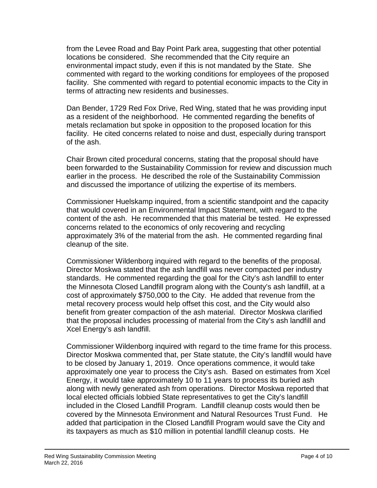from the Levee Road and Bay Point Park area, suggesting that other potential locations be considered. She recommended that the City require an environmental impact study, even if this is not mandated by the State. She commented with regard to the working conditions for employees of the proposed facility. She commented with regard to potential economic impacts to the City in terms of attracting new residents and businesses.

Dan Bender, 1729 Red Fox Drive, Red Wing, stated that he was providing input as a resident of the neighborhood. He commented regarding the benefits of metals reclamation but spoke in opposition to the proposed location for this facility. He cited concerns related to noise and dust, especially during transport of the ash.

Chair Brown cited procedural concerns, stating that the proposal should have been forwarded to the Sustainability Commission for review and discussion much earlier in the process. He described the role of the Sustainability Commission and discussed the importance of utilizing the expertise of its members.

Commissioner Huelskamp inquired, from a scientific standpoint and the capacity that would covered in an Environmental Impact Statement, with regard to the content of the ash. He recommended that this material be tested. He expressed concerns related to the economics of only recovering and recycling approximately 3% of the material from the ash. He commented regarding final cleanup of the site.

Commissioner Wildenborg inquired with regard to the benefits of the proposal. Director Moskwa stated that the ash landfill was never compacted per industry standards. He commented regarding the goal for the City's ash landfill to enter the Minnesota Closed Landfill program along with the County's ash landfill, at a cost of approximately \$750,000 to the City. He added that revenue from the metal recovery process would help offset this cost, and the City would also benefit from greater compaction of the ash material. Director Moskwa clarified that the proposal includes processing of material from the City's ash landfill and Xcel Energy's ash landfill.

Commissioner Wildenborg inquired with regard to the time frame for this process. Director Moskwa commented that, per State statute, the City's landfill would have to be closed by January 1, 2019. Once operations commence, it would take approximately one year to process the City's ash. Based on estimates from Xcel Energy, it would take approximately 10 to 11 years to process its buried ash along with newly generated ash from operations. Director Moskwa reported that local elected officials lobbied State representatives to get the City's landfill included in the Closed Landfill Program. Landfill cleanup costs would then be covered by the Minnesota Environment and Natural Resources Trust Fund. He added that participation in the Closed Landfill Program would save the City and its taxpayers as much as \$10 million in potential landfill cleanup costs. He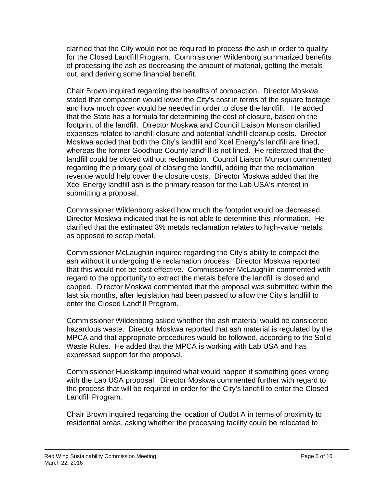clarified that the City would not be required to process the ash in order to qualify for the Closed Landfill Program. Commissioner Wildenborg summarized benefits of processing the ash as decreasing the amount of material, getting the metals out, and deriving some financial benefit.

Chair Brown inquired regarding the benefits of compaction. Director Moskwa stated that compaction would lower the City's cost in terms of the square footage and how much cover would be needed in order to close the landfill. He added that the State has a formula for determining the cost of closure, based on the footprint of the landfill. Director Moskwa and Council Liaison Munson clarified expenses related to landfill closure and potential landfill cleanup costs. Director Moskwa added that both the City's landfill and Xcel Energy's landfill are lined, whereas the former Goodhue County landfill is not lined. He reiterated that the landfill could be closed without reclamation. Council Liaison Munson commented regarding the primary goal of closing the landfill, adding that the reclamation revenue would help cover the closure costs. Director Moskwa added that the Xcel Energy landfill ash is the primary reason for the Lab USA's interest in submitting a proposal.

Commissioner Wildenborg asked how much the footprint would be decreased. Director Moskwa indicated that he is not able to determine this information. He clarified that the estimated 3% metals reclamation relates to high-value metals, as opposed to scrap metal.

Commissioner McLaughlin inquired regarding the City's ability to compact the ash without it undergoing the reclamation process. Director Moskwa reported that this would not be cost effective. Commissioner McLaughlin commented with regard to the opportunity to extract the metals before the landfill is closed and capped. Director Moskwa commented that the proposal was submitted within the last six months, after legislation had been passed to allow the City's landfill to enter the Closed Landfill Program.

Commissioner Wildenborg asked whether the ash material would be considered hazardous waste. Director Moskwa reported that ash material is regulated by the MPCA and that appropriate procedures would be followed, according to the Solid Waste Rules. He added that the MPCA is working with Lab USA and has expressed support for the proposal.

Commissioner Huelskamp inquired what would happen if something goes wrong with the Lab USA proposal. Director Moskwa commented further with regard to the process that will be required in order for the City's landfill to enter the Closed Landfill Program.

Chair Brown inquired regarding the location of Outlot A in terms of proximity to residential areas, asking whether the processing facility could be relocated to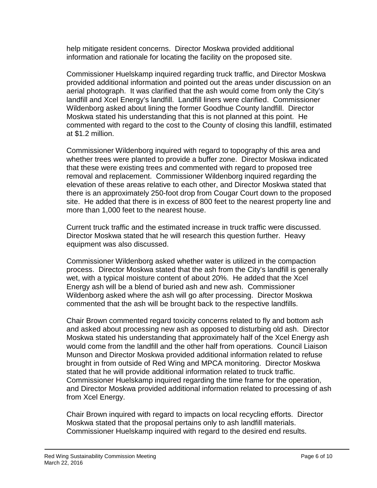help mitigate resident concerns. Director Moskwa provided additional information and rationale for locating the facility on the proposed site.

Commissioner Huelskamp inquired regarding truck traffic, and Director Moskwa provided additional information and pointed out the areas under discussion on an aerial photograph. It was clarified that the ash would come from only the City's landfill and Xcel Energy's landfill. Landfill liners were clarified. Commissioner Wildenborg asked about lining the former Goodhue County landfill. Director Moskwa stated his understanding that this is not planned at this point. He commented with regard to the cost to the County of closing this landfill, estimated at \$1.2 million.

Commissioner Wildenborg inquired with regard to topography of this area and whether trees were planted to provide a buffer zone. Director Moskwa indicated that these were existing trees and commented with regard to proposed tree removal and replacement. Commissioner Wildenborg inquired regarding the elevation of these areas relative to each other, and Director Moskwa stated that there is an approximately 250-foot drop from Cougar Court down to the proposed site. He added that there is in excess of 800 feet to the nearest property line and more than 1,000 feet to the nearest house.

Current truck traffic and the estimated increase in truck traffic were discussed. Director Moskwa stated that he will research this question further. Heavy equipment was also discussed.

Commissioner Wildenborg asked whether water is utilized in the compaction process. Director Moskwa stated that the ash from the City's landfill is generally wet, with a typical moisture content of about 20%. He added that the Xcel Energy ash will be a blend of buried ash and new ash. Commissioner Wildenborg asked where the ash will go after processing. Director Moskwa commented that the ash will be brought back to the respective landfills.

Chair Brown commented regard toxicity concerns related to fly and bottom ash and asked about processing new ash as opposed to disturbing old ash. Director Moskwa stated his understanding that approximately half of the Xcel Energy ash would come from the landfill and the other half from operations. Council Liaison Munson and Director Moskwa provided additional information related to refuse brought in from outside of Red Wing and MPCA monitoring. Director Moskwa stated that he will provide additional information related to truck traffic. Commissioner Huelskamp inquired regarding the time frame for the operation, and Director Moskwa provided additional information related to processing of ash from Xcel Energy.

Chair Brown inquired with regard to impacts on local recycling efforts. Director Moskwa stated that the proposal pertains only to ash landfill materials. Commissioner Huelskamp inquired with regard to the desired end results.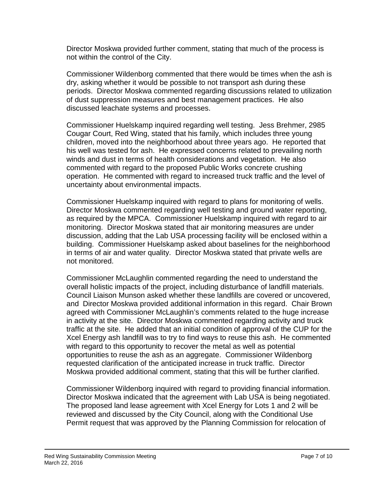Director Moskwa provided further comment, stating that much of the process is not within the control of the City.

Commissioner Wildenborg commented that there would be times when the ash is dry, asking whether it would be possible to not transport ash during these periods. Director Moskwa commented regarding discussions related to utilization of dust suppression measures and best management practices. He also discussed leachate systems and processes.

Commissioner Huelskamp inquired regarding well testing. Jess Brehmer, 2985 Cougar Court, Red Wing, stated that his family, which includes three young children, moved into the neighborhood about three years ago. He reported that his well was tested for ash. He expressed concerns related to prevailing north winds and dust in terms of health considerations and vegetation. He also commented with regard to the proposed Public Works concrete crushing operation. He commented with regard to increased truck traffic and the level of uncertainty about environmental impacts.

Commissioner Huelskamp inquired with regard to plans for monitoring of wells. Director Moskwa commented regarding well testing and ground water reporting, as required by the MPCA. Commissioner Huelskamp inquired with regard to air monitoring. Director Moskwa stated that air monitoring measures are under discussion, adding that the Lab USA processing facility will be enclosed within a building. Commissioner Huelskamp asked about baselines for the neighborhood in terms of air and water quality. Director Moskwa stated that private wells are not monitored.

Commissioner McLaughlin commented regarding the need to understand the overall holistic impacts of the project, including disturbance of landfill materials. Council Liaison Munson asked whether these landfills are covered or uncovered, and Director Moskwa provided additional information in this regard. Chair Brown agreed with Commissioner McLaughlin's comments related to the huge increase in activity at the site. Director Moskwa commented regarding activity and truck traffic at the site. He added that an initial condition of approval of the CUP for the Xcel Energy ash landfill was to try to find ways to reuse this ash. He commented with regard to this opportunity to recover the metal as well as potential opportunities to reuse the ash as an aggregate. Commissioner Wildenborg requested clarification of the anticipated increase in truck traffic. Director Moskwa provided additional comment, stating that this will be further clarified.

Commissioner Wildenborg inquired with regard to providing financial information. Director Moskwa indicated that the agreement with Lab USA is being negotiated. The proposed land lease agreement with Xcel Energy for Lots 1 and 2 will be reviewed and discussed by the City Council, along with the Conditional Use Permit request that was approved by the Planning Commission for relocation of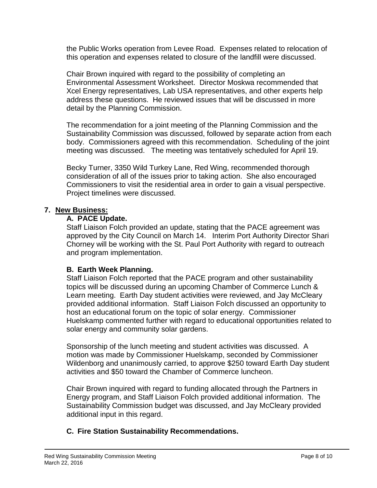the Public Works operation from Levee Road. Expenses related to relocation of this operation and expenses related to closure of the landfill were discussed.

Chair Brown inquired with regard to the possibility of completing an Environmental Assessment Worksheet. Director Moskwa recommended that Xcel Energy representatives, Lab USA representatives, and other experts help address these questions. He reviewed issues that will be discussed in more detail by the Planning Commission.

The recommendation for a joint meeting of the Planning Commission and the Sustainability Commission was discussed, followed by separate action from each body. Commissioners agreed with this recommendation. Scheduling of the joint meeting was discussed. The meeting was tentatively scheduled for April 19.

Becky Turner, 3350 Wild Turkey Lane, Red Wing, recommended thorough consideration of all of the issues prior to taking action. She also encouraged Commissioners to visit the residential area in order to gain a visual perspective. Project timelines were discussed.

### **7. New Business:**

#### **A. PACE Update.**

Staff Liaison Folch provided an update, stating that the PACE agreement was approved by the City Council on March 14. Interim Port Authority Director Shari Chorney will be working with the St. Paul Port Authority with regard to outreach and program implementation.

### **B. Earth Week Planning.**

Staff Liaison Folch reported that the PACE program and other sustainability topics will be discussed during an upcoming Chamber of Commerce Lunch & Learn meeting. Earth Day student activities were reviewed, and Jay McCleary provided additional information. Staff Liaison Folch discussed an opportunity to host an educational forum on the topic of solar energy. Commissioner Huelskamp commented further with regard to educational opportunities related to solar energy and community solar gardens.

Sponsorship of the lunch meeting and student activities was discussed. A motion was made by Commissioner Huelskamp, seconded by Commissioner Wildenborg and unanimously carried, to approve \$250 toward Earth Day student activities and \$50 toward the Chamber of Commerce luncheon.

Chair Brown inquired with regard to funding allocated through the Partners in Energy program, and Staff Liaison Folch provided additional information. The Sustainability Commission budget was discussed, and Jay McCleary provided additional input in this regard.

### **C. Fire Station Sustainability Recommendations.**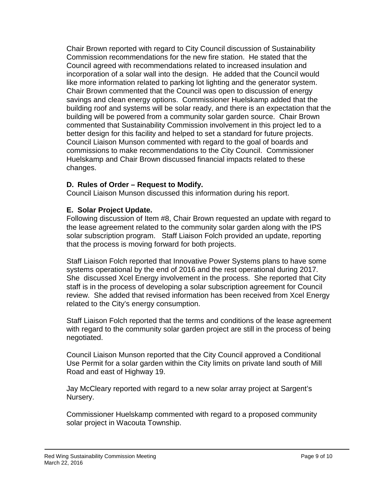Chair Brown reported with regard to City Council discussion of Sustainability Commission recommendations for the new fire station. He stated that the Council agreed with recommendations related to increased insulation and incorporation of a solar wall into the design. He added that the Council would like more information related to parking lot lighting and the generator system. Chair Brown commented that the Council was open to discussion of energy savings and clean energy options. Commissioner Huelskamp added that the building roof and systems will be solar ready, and there is an expectation that the building will be powered from a community solar garden source. Chair Brown commented that Sustainability Commission involvement in this project led to a better design for this facility and helped to set a standard for future projects. Council Liaison Munson commented with regard to the goal of boards and commissions to make recommendations to the City Council. Commissioner Huelskamp and Chair Brown discussed financial impacts related to these changes.

### **D. Rules of Order – Request to Modify.**

Council Liaison Munson discussed this information during his report.

### **E. Solar Project Update.**

Following discussion of Item #8, Chair Brown requested an update with regard to the lease agreement related to the community solar garden along with the IPS solar subscription program. Staff Liaison Folch provided an update, reporting that the process is moving forward for both projects.

Staff Liaison Folch reported that Innovative Power Systems plans to have some systems operational by the end of 2016 and the rest operational during 2017. She discussed Xcel Energy involvement in the process. She reported that City staff is in the process of developing a solar subscription agreement for Council review. She added that revised information has been received from Xcel Energy related to the City's energy consumption.

Staff Liaison Folch reported that the terms and conditions of the lease agreement with regard to the community solar garden project are still in the process of being negotiated.

Council Liaison Munson reported that the City Council approved a Conditional Use Permit for a solar garden within the City limits on private land south of Mill Road and east of Highway 19.

Jay McCleary reported with regard to a new solar array project at Sargent's Nursery.

Commissioner Huelskamp commented with regard to a proposed community solar project in Wacouta Township.